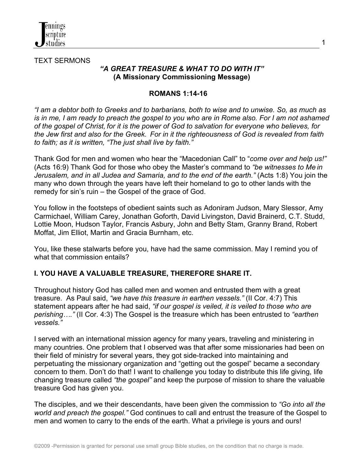

TEXT SERMONS

### *"A GREAT TREASURE & WHAT TO DO WITH IT"* **(A Missionary Commissioning Message)**

### **ROMANS 1:14-16**

*"I am a debtor both to Greeks and to barbarians, both to wise and to unwise. So, as much as is in me, I am ready to preach the gospel to you who are in Rome also. For I am not ashamed of the gospel of Christ, for it is the power of God to salvation for everyone who believes, for the Jew first and also for the Greek. For in it the righteousness of God is revealed from faith to faith; as it is written, "The just shall live by faith."*

Thank God for men and women who hear the "Macedonian Call" to "*come over and help us!"* (Acts 16:9) Thank God for those who obey the Master's command to *"be witnesses to Me in Jerusalem, and in all Judea and Samaria, and to the end of the earth."* (Acts 1:8) You join the many who down through the years have left their homeland to go to other lands with the remedy for sin's ruin – the Gospel of the grace of God.

You follow in the footsteps of obedient saints such as Adoniram Judson, Mary Slessor, Amy Carmichael, William Carey, Jonathan Goforth, David Livingston, David Brainerd, C.T. Studd, Lottie Moon, Hudson Taylor, Francis Asbury, John and Betty Stam, Granny Brand, Robert Moffat, Jim Elliot, Martin and Gracia Burnham, etc.

You, like these stalwarts before you, have had the same commission. May I remind you of what that commission entails?

## **I. YOU HAVE A VALUABLE TREASURE, THEREFORE SHARE IT.**

Throughout history God has called men and women and entrusted them with a great treasure. As Paul said, *"we have this treasure in earthen vessels."* (II Cor. 4:7) This statement appears after he had said, *"if our gospel is veiled, it is veiled to those who are perishing…."* (II Cor. 4:3) The Gospel is the treasure which has been entrusted to *"earthen vessels."*

I served with an international mission agency for many years, traveling and ministering in many countries. One problem that I observed was that after some missionaries had been on their field of ministry for several years, they got side-tracked into maintaining and perpetuating the missionary organization and "getting out the gospel" became a secondary concern to them. Don't do that! I want to challenge you today to distribute this life giving, life changing treasure called *"the gospel"* and keep the purpose of mission to share the valuable treasure God has given you.

The disciples, and we their descendants, have been given the commission to *"Go into all the world and preach the gospel."* God continues to call and entrust the treasure of the Gospel to men and women to carry to the ends of the earth. What a privilege is yours and ours!

1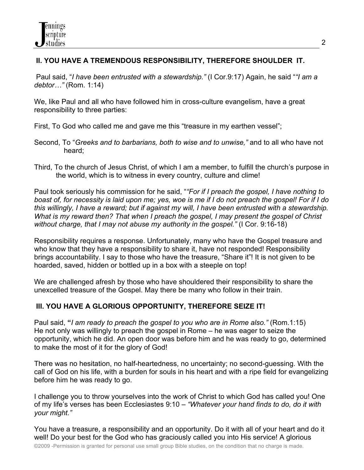## **II. YOU HAVE A TREMENDOUS RESPONSIBILITY, THEREFORE SHOULDER IT.**

Paul said, "*I have been entrusted with a stewardship."* (I Cor.9:17) Again, he said "*"I am a debtor…"* (Rom. 1:14)

We, like Paul and all who have followed him in cross-culture evangelism, have a great responsibility to three parties:

First, To God who called me and gave me this "treasure in my earthen vessel";

- Second, To "*Greeks and to barbarians, both to wise and to unwise,"* and to all who have not heard;
- Third, To the church of Jesus Christ, of which I am a member, to fulfill the church's purpose in the world, which is to witness in every country, culture and clime!

Paul took seriously his commission for he said, "*"For if I preach the gospel, I have nothing to boast of, for necessity is laid upon me; yes, woe is me if I do not preach the gospel! For if I do this willingly, I have a reward; but if against my will, I have been entrusted with a stewardship. What is my reward then? That when I preach the gospel, I may present the gospel of Christ without charge, that I may not abuse my authority in the gospel."* (I Cor. 9:16-18)

Responsibility requires a response. Unfortunately, many who have the Gospel treasure and who know that they have a responsibility to share it, have not responded! Responsibility brings accountability. I say to those who have the treasure, "Share it"! It is not given to be hoarded, saved, hidden or bottled up in a box with a steeple on top!

We are challenged afresh by those who have shouldered their responsibility to share the unexcelled treasure of the Gospel. May there be many who follow in their train.

# **III. YOU HAVE A GLORIOUS OPPORTUNITY, THEREFORE SEIZE IT!**

Paul said, **"***I am ready to preach the gospel to you who are in Rome also."* (Rom.1:15) He not only was willingly to preach the gospel in Rome – he was eager to seize the opportunity, which he did. An open door was before him and he was ready to go, determined to make the most of it for the glory of God!

There was no hesitation, no half-heartedness, no uncertainty; no second-guessing. With the call of God on his life, with a burden for souls in his heart and with a ripe field for evangelizing before him he was ready to go.

I challenge you to throw yourselves into the work of Christ to which God has called you! One of my life's verses has been Ecclesiastes 9:10 – *"Whatever your hand finds to do, do it with your might."* 

You have a treasure, a responsibility and an opportunity. Do it with all of your heart and do it well! Do your best for the God who has graciously called you into His service! A glorious